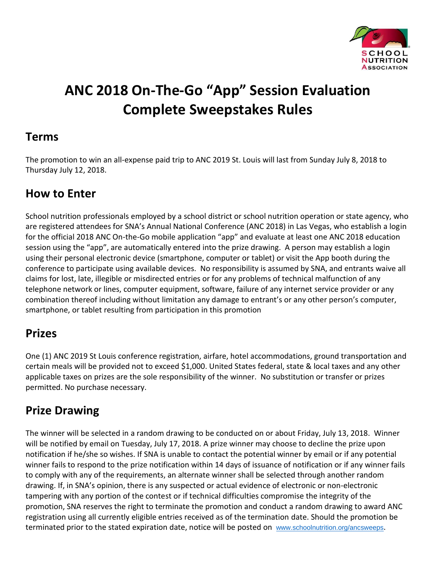

# **ANC 2018 On‐The‐Go "App" Session Evaluation Complete Sweepstakes Rules**

#### **Terms**

The promotion to win an all-expense paid trip to ANC 2019 St. Louis will last from Sunday July 8, 2018 to Thursday July 12, 2018.

## **How to Enter**

School nutrition professionals employed by a school district or school nutrition operation or state agency, who are registered attendees for SNA's Annual National Conference (ANC 2018) in Las Vegas, who establish a login for the official 2018 ANC On-the-Go mobile application "app" and evaluate at least one ANC 2018 education session using the "app", are automatically entered into the prize drawing. A person may establish a login using their personal electronic device (smartphone, computer or tablet) or visit the App booth during the conference to participate using available devices. No responsibility is assumed by SNA, and entrants waive all claims for lost, late, illegible or misdirected entries or for any problems of technical malfunction of any telephone network or lines, computer equipment, software, failure of any internet service provider or any combination thereof including without limitation any damage to entrant's or any other person's computer, smartphone, or tablet resulting from participation in this promotion

## **Prizes**

One (1) ANC 2019 St Louis conference registration, airfare, hotel accommodations, ground transportation and certain meals will be provided not to exceed \$1,000. United States federal, state & local taxes and any other applicable taxes on prizes are the sole responsibility of the winner. No substitution or transfer or prizes permitted. No purchase necessary.

## **Prize Drawing**

The winner will be selected in a random drawing to be conducted on or about Friday, July 13, 2018. Winner will be notified by email on Tuesday, July 17, 2018. A prize winner may choose to decline the prize upon notification if he/she so wishes. If SNA is unable to contact the potential winner by email or if any potential winner fails to respond to the prize notification within 14 days of issuance of notification or if any winner fails to comply with any of the requirements, an alternate winner shall be selected through another random drawing. If, in SNA's opinion, there is any suspected or actual evidence of electronic or non-electronic tampering with any portion of the contest or if technical difficulties compromise the integrity of the promotion, SNA reserves the right to terminate the promotion and conduct a random drawing to award ANC registration using all currently eligible entries received as of the termination date. Should the promotion be terminated prior to the stated expiration date, notice will be posted on [www.schoolnutrition.org/ancsweeps](http://www.schoolnutrition.org/ancsweeps).